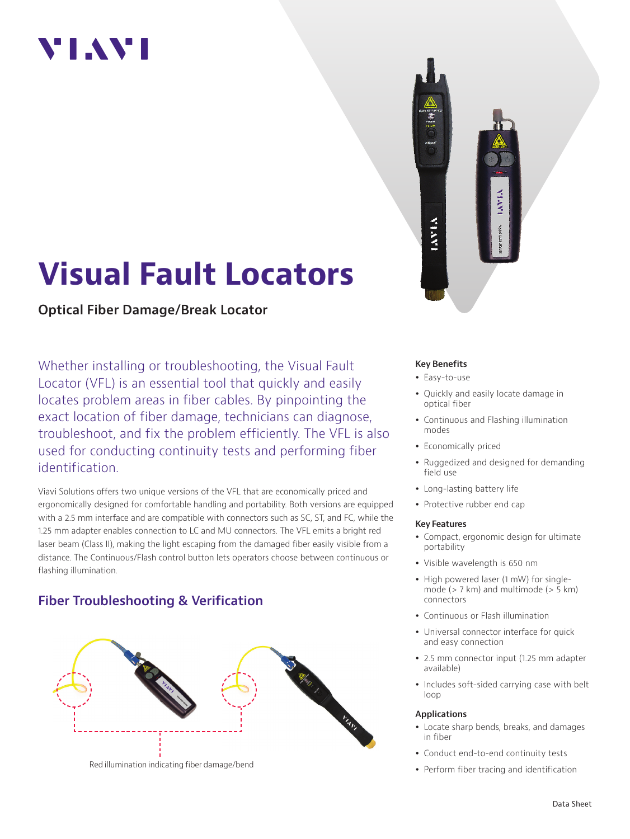## VI.AVI

# **Visual Fault Locators**

**Optical Fiber Damage/Break Locator**

Whether installing or troubleshooting, the Visual Fault Locator (VFL) is an essential tool that quickly and easily locates problem areas in fiber cables. By pinpointing the exact location of fiber damage, technicians can diagnose, troubleshoot, and fix the problem efficiently. The VFL is also used for conducting continuity tests and performing fiber identification.

Viavi Solutions offers two unique versions of the VFL that are economically priced and ergonomically designed for comfortable handling and portability. Both versions are equipped with a 2.5 mm interface and are compatible with connectors such as SC, ST, and FC, while the 1.25 mm adapter enables connection to LC and MU connectors. The VFL emits a bright red laser beam (Class II), making the light escaping from the damaged fiber easily visible from a distance. The Continuous/Flash control button lets operators choose between continuous or flashing illumination.

## **Fiber Troubleshooting & Verification**



**VEAVE** 

### **Key Benefits**

- Easy-to-use
- Quickly and easily locate damage in optical fiber
- Continuous and Flashing illumination modes
- Economically priced
- Ruggedized and designed for demanding field use
- Long-lasting battery life
- Protective rubber end cap

## **Key Features**

- Compact, ergonomic design for ultimate portability
- Visible wavelength is 650 nm
- High powered laser (1 mW) for singlemode (> 7 km) and multimode (> 5 km) connectors
- Continuous or Flash illumination
- Universal connector interface for quick and easy connection
- 2.5 mm connector input (1.25 mm adapter available)
- Includes soft-sided carrying case with belt loop

#### **Applications**

- Locate sharp bends, breaks, and damages in fiber
- Conduct end-to-end continuity tests
- Perform fiber tracing and identification